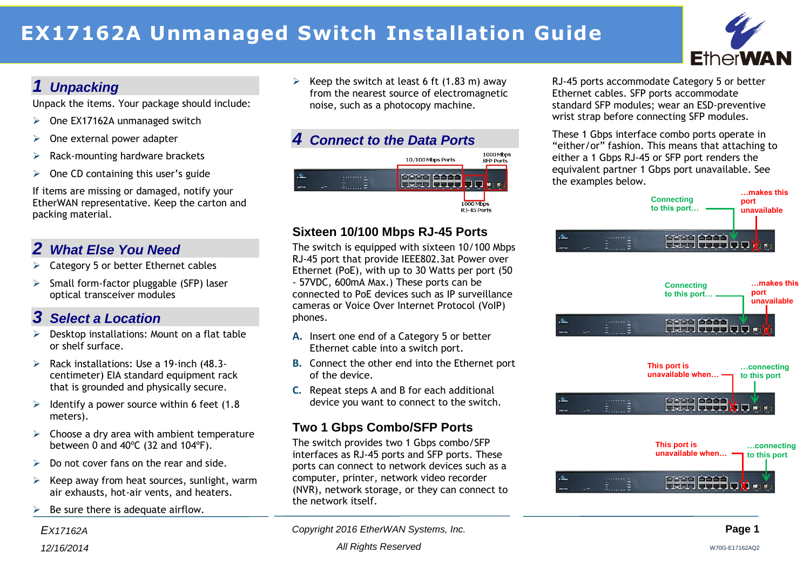# **EX17162A Unmanaged Switch Installation Guide**



## *1 Unpacking*

Unpack the items. Your package should include:

- $\geq$  One EX17162A unmanaged switch
- $\triangleright$  One external power adapter
- Rack-mounting hardware brackets
- $\triangleright$  One CD containing this user's guide

If items are missing or damaged, notify your EtherWAN representative. Keep the carton and packing material.

# *2 What Else You Need*

- $\triangleright$  Category 5 or better Ethernet cables
- $\triangleright$  Small form-factor pluggable (SFP) laser optical transceiver modules

# *3 Select a Location*

- $\triangleright$  Desktop installations: Mount on a flat table or shelf surface.
- $\triangleright$  Rack installations: Use a 19-inch (48.3centimeter) EIA standard equipment rack that is grounded and physically secure.
- $\geq$  Identify a power source within 6 feet (1.8) meters).
- $\triangleright$  Choose a dry area with ambient temperature between 0 and 40ºC (32 and 104ºF).
- $\triangleright$  Do not cover fans on the rear and side.
- $\triangleright$  Keep away from heat sources, sunlight, warm air exhausts, hot-air vents, and heaters.
- $\triangleright$  Be sure there is adequate airflow.

Exect Fig. 2. Keep the switch at least 6 ft  $(1.83 \text{ m})$  away from the nearest source of electromagnetic noise, such as a photocopy machine.





#### **Sixteen 10/100 Mbps RJ-45 Ports**

The switch is equipped with sixteen 10/100 Mbps RJ-45 port that provide IEEE802.3at Power over Ethernet (PoE), with up to 30 Watts per port (50 - 57VDC, 600mA Max.) These ports can be connected to PoE devices such as IP surveillance cameras or Voice Over Internet Protocol (VoIP) phones.

- **A.** Insert one end of a Category 5 or better Ethernet cable into a switch port.
- **B.** Connect the other end into the Ethernet port of the device.
- **C.** Repeat steps A and B for each additional device you want to connect to the switch.

## **Two 1 Gbps Combo/SFP Ports**

The switch provides two 1 Gbps combo/SFP interfaces as RJ-45 ports and SFP ports. These ports can connect to network devices such as a computer, printer, network video recorder (NVR), network storage, or they can connect to the network itself.

RJ-45 ports accommodate Category 5 or better Ethernet cables. SFP ports accommodate standard SFP modules; wear an ESD-preventive wrist strap before connecting SFP modules.

These 1 Gbps interface combo ports operate in "either/or" fashion. This means that attaching to either a 1 Gbps RJ-45 or SFP port renders the equivalent partner 1 Gbps port unavailable. See the examples below.